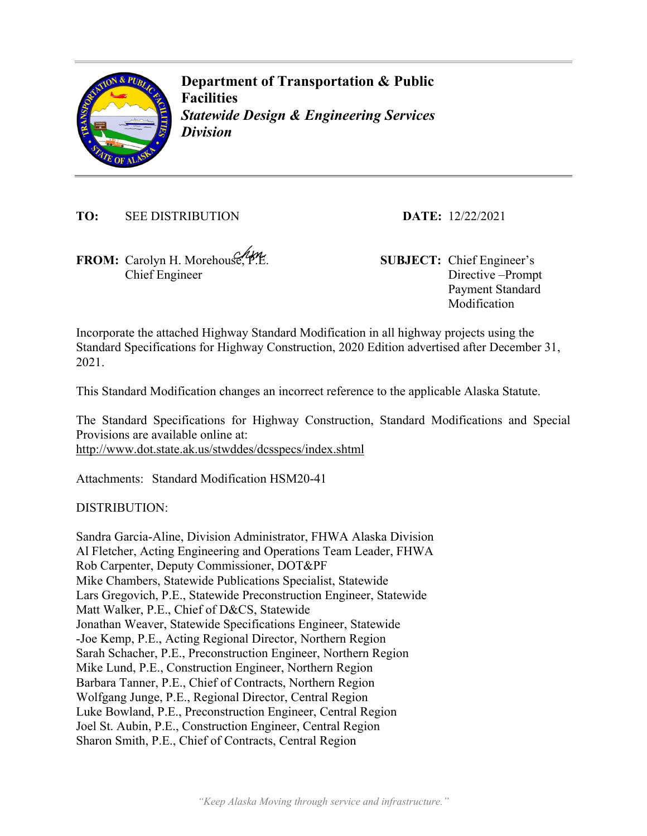

**Department of Transportation & Public Facilities**  *Statewide Design & Engineering Services Division* 

**TO:** SEE DISTRIBUTION **DATE:** 12/22/2021

**FROM:** Carolyn H. Morehouse, P.E. **SUBJECT:** Chief Engineer's Chief Engineer

Directive –Prompt Payment Standard Modification

Incorporate the attached Highway Standard Modification in all highway projects using the Standard Specifications for Highway Construction, 2020 Edition advertised after December 31, 2021.

This Standard Modification changes an incorrect reference to the applicable Alaska Statute.

The Standard Specifications for Highway Construction, Standard Modifications and Special Provisions are available online at: http://www.dot.state.ak.us/stwddes/dcsspecs/index.shtml

Attachments: Standard Modification HSM20-41

DISTRIBUTION:

Sandra Garcia-Aline, Division Administrator, FHWA Alaska Division Al Fletcher, Acting Engineering and Operations Team Leader, FHWA Rob Carpenter, Deputy Commissioner, DOT&PF Mike Chambers, Statewide Publications Specialist, Statewide Lars Gregovich, P.E., Statewide Preconstruction Engineer, Statewide Matt Walker, P.E., Chief of D&CS, Statewide Jonathan Weaver, Statewide Specifications Engineer, Statewide -Joe Kemp, P.E., Acting Regional Director, Northern Region Sarah Schacher, P.E., Preconstruction Engineer, Northern Region Mike Lund, P.E., Construction Engineer, Northern Region Barbara Tanner, P.E., Chief of Contracts, Northern Region Wolfgang Junge, P.E., Regional Director, Central Region Luke Bowland, P.E., Preconstruction Engineer, Central Region Joel St. Aubin, P.E., Construction Engineer, Central Region Sharon Smith, P.E., Chief of Contracts, Central Region